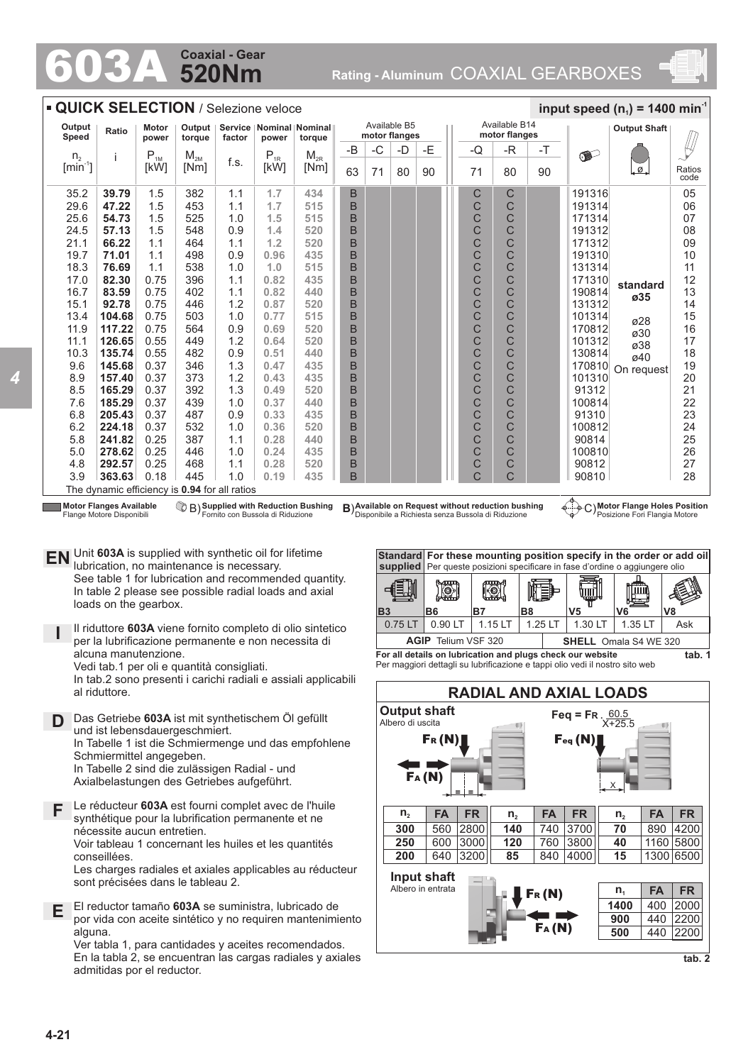## **520Nm Coaxial - Gear**

603A **Rating - Aluminum** COAXIAL GEARBOXES



|                             | <b>QUICK SELECTION / Selezione veloce</b> |                       |                                               |            |              |                                         |                               |      |    |    |  |                                | input speed ( $n_1$ ) = 1400 min <sup>-1</sup> |    |                  |                          |                |  |
|-----------------------------|-------------------------------------------|-----------------------|-----------------------------------------------|------------|--------------|-----------------------------------------|-------------------------------|------|----|----|--|--------------------------------|------------------------------------------------|----|------------------|--------------------------|----------------|--|
| Output<br>Speed             | Ratio                                     | <b>Motor</b><br>power | Output<br>torque                              | factor     | power        | Service   Nominal   Nominal  <br>torque | Available B5<br>motor flanges |      |    |    |  | Available B14<br>motor flanges |                                                |    |                  | <b>Output Shaft</b>      |                |  |
| n <sub>2</sub>              | ÷                                         | $P_{1M}$              | $M_{2M}$                                      |            | $P_{1R}$     | $M_{2R}$                                | $-B$                          | $-C$ | -D | -E |  | -Q                             | -R                                             | -T | $\bullet$        |                          |                |  |
| $\left[\text{min}^1\right]$ |                                           | [kW]                  | [Nm]                                          | f.s.       | [kW]         | [Nm]                                    | 63                            | 71   | 80 | 90 |  | 71                             | 80                                             | 90 |                  | $\overline{\mathcal{Q}}$ | Ratios<br>code |  |
| 35.2                        | 39.79                                     | 1.5                   | 382                                           | 1.1        | 1.7          | 434                                     | $\sf B$                       |      |    |    |  | C                              | С                                              |    | 191316           |                          | 05             |  |
| 29.6                        | 47.22                                     | 1.5                   | 453                                           | 1.1        | 1.7          | 515                                     | B                             |      |    |    |  | C                              | C                                              |    | 191314           |                          | 06             |  |
| 25.6                        | 54.73                                     | 1.5                   | 525                                           | 1.0        | 1.5          | 515                                     | B                             |      |    |    |  | C                              | Ć                                              |    | 171314           |                          | 07             |  |
| 24.5                        | 57.13                                     | 1.5                   | 548                                           | 0.9        | 1.4          | 520                                     | B                             |      |    |    |  | C                              | C                                              |    | 191312           |                          | 08             |  |
| 21.1                        | 66.22                                     | 1.1                   | 464                                           | 1.1        | 1.2          | 520                                     | B                             |      |    |    |  | C                              | C                                              |    | 171312           |                          | 09             |  |
| 19.7                        | 71.01                                     | 1.1                   | 498                                           | 0.9        | 0.96         | 435                                     | B                             |      |    |    |  | C                              | Ċ                                              |    | 191310           |                          | 10             |  |
| 18.3                        | 76.69                                     | 1.1                   | 538                                           | 1.0        | 1.0          | 515                                     | B                             |      |    |    |  | C                              | C                                              |    | 131314           |                          | 11             |  |
| 17.0<br>16.7                | 82.30<br>83.59                            | 0.75<br>0.75          | 396<br>402                                    | 1.1<br>1.1 | 0.82<br>0.82 | 435<br>440                              | B<br>B                        |      |    |    |  | C<br>C                         | C                                              |    | 171310<br>190814 | standard                 | 12<br>13       |  |
| 15.1                        | 92.78                                     | 0.75                  | 446                                           | 1.2        | 0.87         | 520                                     | B                             |      |    |    |  | C                              | C<br>Ċ                                         |    | 131312           | ø35                      | 14             |  |
| 13.4                        | 104.68                                    | 0.75                  | 503                                           | 1.0        | 0.77         | 515                                     | B                             |      |    |    |  | C                              | C                                              |    | 101314           |                          | 15             |  |
| 11.9                        | 117.22                                    | 0.75                  | 564                                           | 0.9        | 0.69         | 520                                     | B                             |      |    |    |  | C                              | C                                              |    | 170812           | ø28                      | 16             |  |
| 11.1                        | 126.65                                    | 0.55                  | 449                                           | 1.2        | 0.64         | 520                                     | B                             |      |    |    |  | C                              | C                                              |    | 101312           | ø30                      | 17             |  |
| 10.3                        | 135.74                                    | 0.55                  | 482                                           | 0.9        | 0.51         | 440                                     | B                             |      |    |    |  | C                              | C                                              |    | 130814           | ø38                      | 18             |  |
| 9.6                         | 145.68                                    | 0.37                  | 346                                           | 1.3        | 0.47         | 435                                     | B                             |      |    |    |  | C                              | C                                              |    | 170810           | ø40                      | 19             |  |
| 8.9                         | 157.40                                    | 0.37                  | 373                                           | 1.2        | 0.43         | 435                                     | B                             |      |    |    |  | C                              | C                                              |    | 101310           | On request               | 20             |  |
| 8.5                         | 165.29                                    | 0.37                  | 392                                           | 1.3        | 0.49         | 520                                     | B                             |      |    |    |  | C                              | Ċ                                              |    | 91312            |                          | 21             |  |
| 7.6                         | 185.29                                    | 0.37                  | 439                                           | 1.0        | 0.37         | 440                                     | B                             |      |    |    |  | C                              | C                                              |    | 100814           |                          | 22             |  |
| 6.8                         | 205.43                                    | 0.37                  | 487                                           | 0.9        | 0.33         | 435                                     | B                             |      |    |    |  | C                              | C                                              |    | 91310            |                          | 23             |  |
| 6.2                         | 224.18                                    | 0.37                  | 532                                           | 1.0        | 0.36         | 520                                     | B                             |      |    |    |  | C                              | Ċ                                              |    | 100812           |                          | 24             |  |
| 5.8                         | 241.82                                    | 0.25                  | 387                                           | 1.1        | 0.28         | 440                                     | B                             |      |    |    |  | C                              | C                                              |    | 90814            |                          | 25             |  |
| 5.0                         | 278.62                                    | 0.25                  | 446                                           | 1.0        | 0.24         | 435                                     | B                             |      |    |    |  | C                              | C                                              |    | 100810           |                          | 26             |  |
| 4.8                         | 292.57                                    | 0.25                  | 468                                           | 1.1        | 0.28         | 520                                     | B                             |      |    |    |  | C                              | C                                              |    | 90812            |                          | 27             |  |
| 3.9                         | 363.63                                    | 0.18                  | 445                                           | 1.0        | 0.19         | 435                                     | B                             |      |    |    |  | C                              | Ċ                                              |    | 90810            |                          | 28             |  |
|                             |                                           |                       | The dynamic efficiency is 0.94 for all ratios |            |              |                                         |                               |      |    |    |  |                                |                                                |    | А.               |                          |                |  |

**Motor Flanges Available** Flange Motore Disponibili

*4*

**Supplied with Reduction Bushing** Fornito con Bussola di Riduzione

**Available on Request with Reduction Bushing B) Available on Request without reduction bushing**  $\begin{pmatrix} \phi & \phi \\ \phi & \phi \end{pmatrix} C$ 

**Motor Flange Holes Position** Posizione Fori Flangia Motore

**EN** Unit **603A** is supplied with synthetic oil for lifetime<br>unitation to maintenance is necessary lubrication, no maintenance is necessary. See table 1 for lubrication and recommended quantity. In table 2 please see possible radial loads and axial loads on the gearbox.

**I** Il riduttore **603A** viene fornito completo di olio sintetico per la lubrificazione permanente e non necessita di alcuna manutenzione. Vedi tab.1 per oli e quantità consigliati.

In tab.2 sono presenti i carichi radiali e assiali applicabili al riduttore.

**D** Das Getriebe **603A** ist mit synthetischem Öl gefüllt und ist lebensdauergeschmiert. In Tabelle 1 ist die Schmiermenge und das empfohlene Schmiermittel angegeben. In Tabelle 2 sind die zulässigen Radial - und Axialbelastungen des Getriebes aufgeführt.

**F** Le réducteur **603A** est fourni complet avec de l'huile synthétique pour la lubrification permanente et ne nécessite aucun entretien. Voir tableau 1 concernant les huiles et les quantités conseillées. Les charges radiales et axiales applicables au réducteur

sont précisées dans le tableau 2.

**E** El reductor tamaño **603A** se suministra, lubricado de por vida con aceite sintético y no requiren mantenimiento alguna.

Ver tabla 1, para cantidades y aceites recomendados. En la tabla 2, se encuentran las cargas radiales y axiales admitidas por el reductor.



Per maggiori dettagli su lubrificazione e tappi olio vedi il nostro sito web